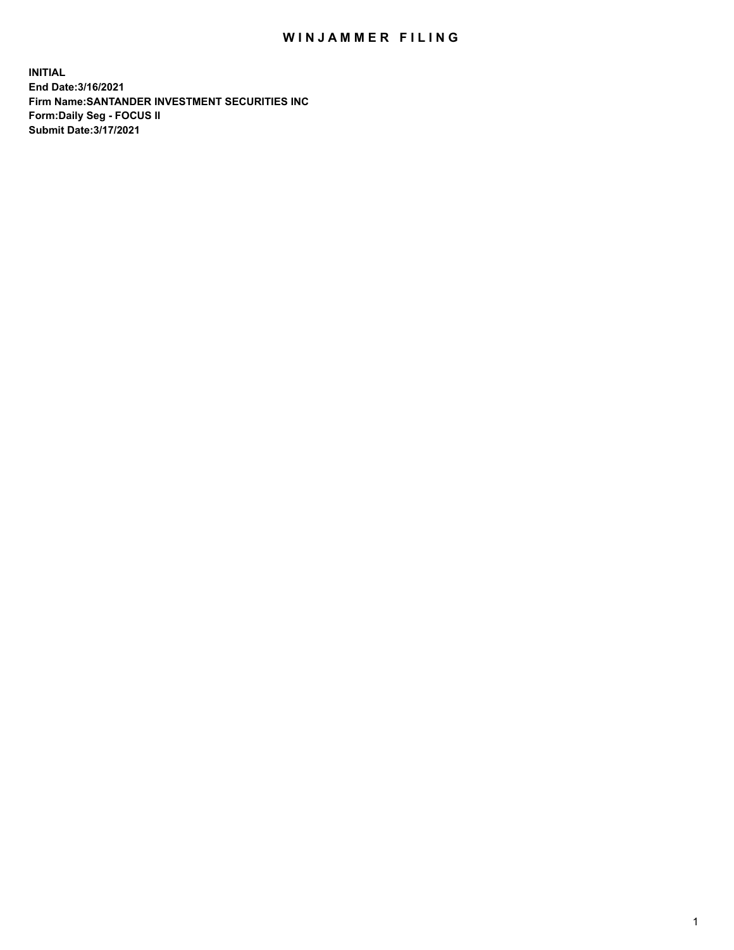## WIN JAMMER FILING

**INITIAL End Date:3/16/2021 Firm Name:SANTANDER INVESTMENT SECURITIES INC Form:Daily Seg - FOCUS II Submit Date:3/17/2021**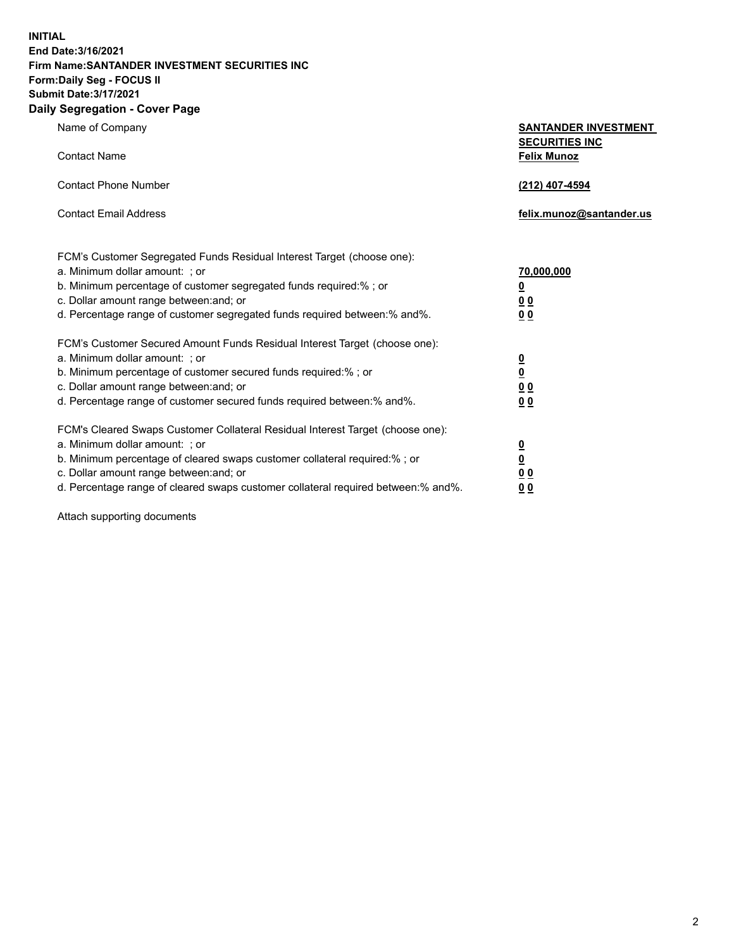**INITIAL End Date:3/16/2021 Firm Name:SANTANDER INVESTMENT SECURITIES INC Form:Daily Seg - FOCUS II Submit Date:3/17/2021 Daily Segregation - Cover Page**

| Name of Company                                                                   | <b>SANTANDER INVESTMENT</b><br><b>SECURITIES INC</b> |
|-----------------------------------------------------------------------------------|------------------------------------------------------|
| <b>Contact Name</b>                                                               | <b>Felix Munoz</b>                                   |
| <b>Contact Phone Number</b>                                                       | (212) 407-4594                                       |
| <b>Contact Email Address</b>                                                      | felix.munoz@santander.us                             |
| FCM's Customer Segregated Funds Residual Interest Target (choose one):            |                                                      |
| a. Minimum dollar amount: ; or                                                    | 70,000,000                                           |
| b. Minimum percentage of customer segregated funds required:%; or                 | <u>0</u>                                             |
| c. Dollar amount range between: and; or                                           | 0 <sub>0</sub>                                       |
| d. Percentage range of customer segregated funds required between:% and%.         | 0 <sub>0</sub>                                       |
| FCM's Customer Secured Amount Funds Residual Interest Target (choose one):        |                                                      |
| a. Minimum dollar amount: ; or                                                    | $\frac{0}{0}$                                        |
| b. Minimum percentage of customer secured funds required:%; or                    |                                                      |
| c. Dollar amount range between: and; or                                           | 0 <sub>0</sub>                                       |
| d. Percentage range of customer secured funds required between:% and%.            | 0 <sub>0</sub>                                       |
| FCM's Cleared Swaps Customer Collateral Residual Interest Target (choose one):    |                                                      |
| a. Minimum dollar amount: ; or                                                    | $\overline{\mathbf{0}}$                              |
| b. Minimum percentage of cleared swaps customer collateral required:% ; or        | $\underline{\mathbf{0}}$                             |
| c. Dollar amount range between: and; or                                           | 0 <sub>0</sub>                                       |
| d. Percentage range of cleared swaps customer collateral required between:% and%. | <u>00</u>                                            |

Attach supporting documents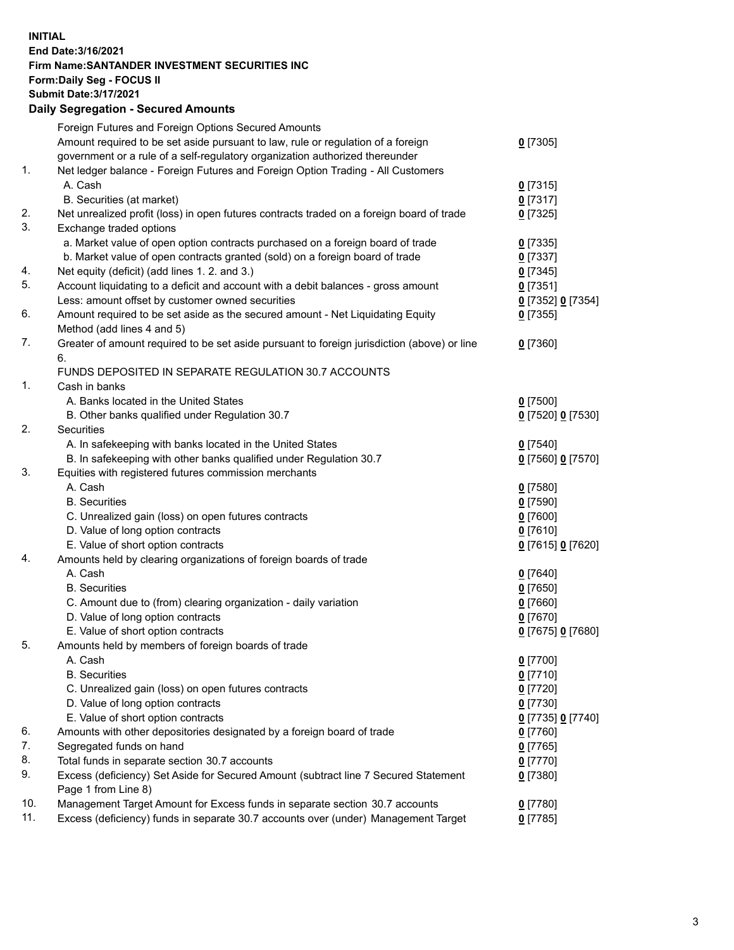**INITIAL End Date:3/16/2021 Firm Name:SANTANDER INVESTMENT SECURITIES INC Form:Daily Seg - FOCUS II Submit Date:3/17/2021 Daily Segregation - Secured Amounts**

|     | Foreign Futures and Foreign Options Secured Amounts                                         |                   |
|-----|---------------------------------------------------------------------------------------------|-------------------|
|     | Amount required to be set aside pursuant to law, rule or regulation of a foreign            | $0$ [7305]        |
|     | government or a rule of a self-regulatory organization authorized thereunder                |                   |
| 1.  | Net ledger balance - Foreign Futures and Foreign Option Trading - All Customers             |                   |
|     | A. Cash                                                                                     | $0$ [7315]        |
|     | B. Securities (at market)                                                                   | $0$ [7317]        |
| 2.  | Net unrealized profit (loss) in open futures contracts traded on a foreign board of trade   | $0$ [7325]        |
| 3.  | Exchange traded options                                                                     |                   |
|     | a. Market value of open option contracts purchased on a foreign board of trade              | $0$ [7335]        |
|     | b. Market value of open contracts granted (sold) on a foreign board of trade                | $0$ [7337]        |
| 4.  | Net equity (deficit) (add lines 1. 2. and 3.)                                               | $0$ [7345]        |
| 5.  | Account liquidating to a deficit and account with a debit balances - gross amount           | $0$ [7351]        |
|     | Less: amount offset by customer owned securities                                            | 0 [7352] 0 [7354] |
| 6.  | Amount required to be set aside as the secured amount - Net Liquidating Equity              | $0$ [7355]        |
|     | Method (add lines 4 and 5)                                                                  |                   |
| 7.  | Greater of amount required to be set aside pursuant to foreign jurisdiction (above) or line | $0$ [7360]        |
|     | 6.                                                                                          |                   |
|     | FUNDS DEPOSITED IN SEPARATE REGULATION 30.7 ACCOUNTS                                        |                   |
| 1.  | Cash in banks                                                                               |                   |
|     | A. Banks located in the United States                                                       | $0$ [7500]        |
|     | B. Other banks qualified under Regulation 30.7                                              | 0 [7520] 0 [7530] |
| 2.  | Securities                                                                                  |                   |
|     | A. In safekeeping with banks located in the United States                                   | $0$ [7540]        |
|     | B. In safekeeping with other banks qualified under Regulation 30.7                          | 0 [7560] 0 [7570] |
| 3.  | Equities with registered futures commission merchants                                       |                   |
|     | A. Cash                                                                                     | $0$ [7580]        |
|     | <b>B.</b> Securities                                                                        | $0$ [7590]        |
|     | C. Unrealized gain (loss) on open futures contracts                                         | $0$ [7600]        |
|     | D. Value of long option contracts                                                           | $0$ [7610]        |
|     | E. Value of short option contracts                                                          | 0 [7615] 0 [7620] |
| 4.  | Amounts held by clearing organizations of foreign boards of trade                           |                   |
|     | A. Cash                                                                                     | $0$ [7640]        |
|     | <b>B.</b> Securities                                                                        | $0$ [7650]        |
|     | C. Amount due to (from) clearing organization - daily variation                             | $0$ [7660]        |
|     | D. Value of long option contracts                                                           | $0$ [7670]        |
|     | E. Value of short option contracts                                                          | 0 [7675] 0 [7680] |
| 5.  | Amounts held by members of foreign boards of trade                                          |                   |
|     | A. Cash                                                                                     | $0$ [7700]        |
|     | <b>B.</b> Securities                                                                        | $0$ [7710]        |
|     | C. Unrealized gain (loss) on open futures contracts                                         | $0$ [7720]        |
|     | D. Value of long option contracts                                                           | $0$ [7730]        |
|     | E. Value of short option contracts                                                          | 0 [7735] 0 [7740] |
| 6.  | Amounts with other depositories designated by a foreign board of trade                      | $0$ [7760]        |
| 7.  | Segregated funds on hand                                                                    | $0$ [7765]        |
| 8.  | Total funds in separate section 30.7 accounts                                               | $0$ [7770]        |
| 9.  | Excess (deficiency) Set Aside for Secured Amount (subtract line 7 Secured Statement         | $0$ [7380]        |
|     | Page 1 from Line 8)                                                                         |                   |
| 10. | Management Target Amount for Excess funds in separate section 30.7 accounts                 | $0$ [7780]        |
| 11. | Excess (deficiency) funds in separate 30.7 accounts over (under) Management Target          | $0$ [7785]        |
|     |                                                                                             |                   |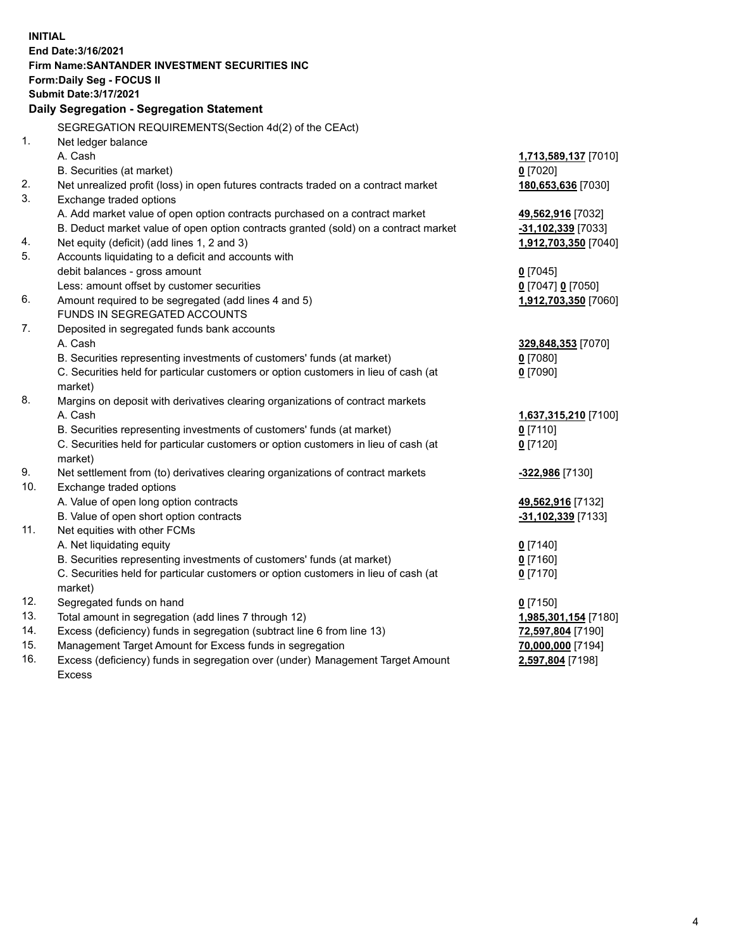| <b>INITIAL</b> |                                                                                     |                      |  |  |  |  |
|----------------|-------------------------------------------------------------------------------------|----------------------|--|--|--|--|
|                | End Date: 3/16/2021                                                                 |                      |  |  |  |  |
|                | Firm Name: SANTANDER INVESTMENT SECURITIES INC<br><b>Form:Daily Seg - FOCUS II</b>  |                      |  |  |  |  |
|                | <b>Submit Date: 3/17/2021</b>                                                       |                      |  |  |  |  |
|                | Daily Segregation - Segregation Statement                                           |                      |  |  |  |  |
|                |                                                                                     |                      |  |  |  |  |
|                | SEGREGATION REQUIREMENTS(Section 4d(2) of the CEAct)                                |                      |  |  |  |  |
| 1.             | Net ledger balance                                                                  |                      |  |  |  |  |
|                | A. Cash                                                                             | 1,713,589,137 [7010] |  |  |  |  |
|                | B. Securities (at market)                                                           | $0$ [7020]           |  |  |  |  |
| 2.             | Net unrealized profit (loss) in open futures contracts traded on a contract market  | 180,653,636 [7030]   |  |  |  |  |
| 3.             | Exchange traded options                                                             |                      |  |  |  |  |
|                | A. Add market value of open option contracts purchased on a contract market         | 49,562,916 [7032]    |  |  |  |  |
|                | B. Deduct market value of open option contracts granted (sold) on a contract market | -31,102,339 [7033]   |  |  |  |  |
| 4.             | Net equity (deficit) (add lines 1, 2 and 3)                                         | 1,912,703,350 [7040] |  |  |  |  |
| 5.             | Accounts liquidating to a deficit and accounts with                                 |                      |  |  |  |  |
|                | debit balances - gross amount                                                       | $0$ [7045]           |  |  |  |  |
|                | Less: amount offset by customer securities                                          | 0 [7047] 0 [7050]    |  |  |  |  |
| 6.             | Amount required to be segregated (add lines 4 and 5)                                | 1,912,703,350 [7060] |  |  |  |  |
|                | FUNDS IN SEGREGATED ACCOUNTS                                                        |                      |  |  |  |  |
| 7.             | Deposited in segregated funds bank accounts                                         |                      |  |  |  |  |
|                | A. Cash                                                                             | 329,848,353 [7070]   |  |  |  |  |
|                | B. Securities representing investments of customers' funds (at market)              | $0$ [7080]           |  |  |  |  |
|                | C. Securities held for particular customers or option customers in lieu of cash (at | $0$ [7090]           |  |  |  |  |
|                | market)                                                                             |                      |  |  |  |  |
| 8.             | Margins on deposit with derivatives clearing organizations of contract markets      |                      |  |  |  |  |
|                | A. Cash                                                                             | 1,637,315,210 [7100] |  |  |  |  |
|                | B. Securities representing investments of customers' funds (at market)              | $0$ [7110]           |  |  |  |  |
|                | C. Securities held for particular customers or option customers in lieu of cash (at | $0$ [7120]           |  |  |  |  |
|                | market)                                                                             |                      |  |  |  |  |
| 9.             | Net settlement from (to) derivatives clearing organizations of contract markets     | -322,986 [7130]      |  |  |  |  |
| 10.            | Exchange traded options                                                             |                      |  |  |  |  |
|                | A. Value of open long option contracts                                              | 49,562,916 [7132]    |  |  |  |  |
|                | B. Value of open short option contracts                                             | -31,102,339 [7133]   |  |  |  |  |
| 11.            | Net equities with other FCMs                                                        |                      |  |  |  |  |
|                | A. Net liquidating equity                                                           | $0$ [7140]           |  |  |  |  |
|                | B. Securities representing investments of customers' funds (at market)              | $0$ [7160]           |  |  |  |  |
|                | C. Securities held for particular customers or option customers in lieu of cash (at | $0$ [7170]           |  |  |  |  |
|                | market)                                                                             |                      |  |  |  |  |
| 12.            | Segregated funds on hand                                                            | $0$ [7150]           |  |  |  |  |
| 13.            | Total amount in segregation (add lines 7 through 12)                                | 1,985,301,154 [7180] |  |  |  |  |
| 14.            | Excess (deficiency) funds in segregation (subtract line 6 from line 13)             | 72,597,804 [7190]    |  |  |  |  |
| 15.            | Management Target Amount for Excess funds in segregation                            | 70,000,000 [7194]    |  |  |  |  |
| 16.            | Excess (deficiency) funds in segregation over (under) Management Target Amount      | 2,597,804 [7198]     |  |  |  |  |
|                | <b>Excess</b>                                                                       |                      |  |  |  |  |